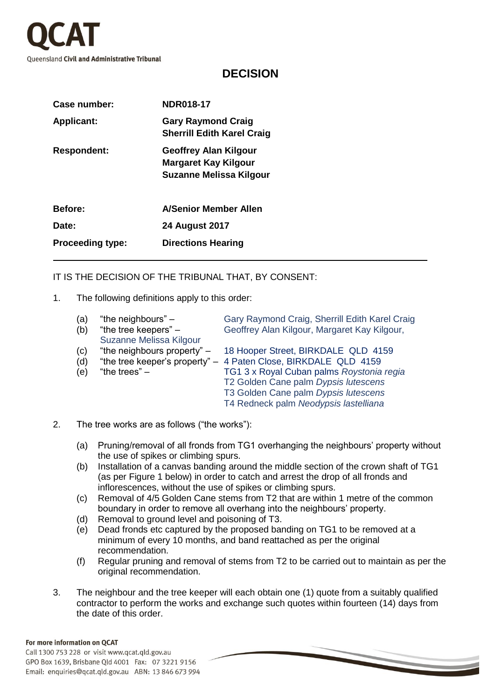

## **DECISION**

| Case number:            | <b>NDR018-17</b>                                                                       |  |
|-------------------------|----------------------------------------------------------------------------------------|--|
| <b>Applicant:</b>       | <b>Gary Raymond Craig</b><br><b>Sherrill Edith Karel Craig</b>                         |  |
| <b>Respondent:</b>      | <b>Geoffrey Alan Kilgour</b><br><b>Margaret Kay Kilgour</b><br>Suzanne Melissa Kilgour |  |
| <b>Before:</b>          | <b>A/Senior Member Allen</b>                                                           |  |
| Date:                   | <b>24 August 2017</b>                                                                  |  |
| <b>Proceeding type:</b> | <b>Directions Hearing</b>                                                              |  |

## IT IS THE DECISION OF THE TRIBUNAL THAT, BY CONSENT:

1. The following definitions apply to this order:

| (a)      | "the neighbours" $-$    | Gary Raymond Craig, Sherrill Edith Karel Craig                  |
|----------|-------------------------|-----------------------------------------------------------------|
| (b)      | "the tree keepers" $-$  | Geoffrey Alan Kilgour, Margaret Kay Kilgour,                    |
|          | Suzanne Melissa Kilgour |                                                                 |
| (c)      |                         | "the neighbours property" - 18 Hooper Street, BIRKDALE QLD 4159 |
| (d)      |                         | "the tree keeper's property" - 4 Paten Close, BIRKDALE QLD 4159 |
| $(\sim)$ | "the trees"             | TC1.3 y Pougl Cuban palme Pougtonia rogia                       |

- (e) "the trees" TG1 3 x Royal Cuban palms *Roystonia regia* T2 Golden Cane palm *Dypsis lutescens* T3 Golden Cane palm *Dypsis lutescens*
	- T4 Redneck palm *Neodypsis lastelliana*
- 2. The tree works are as follows ("the works"):
	- (a) Pruning/removal of all fronds from TG1 overhanging the neighbours' property without the use of spikes or climbing spurs.
	- (b) Installation of a canvas banding around the middle section of the crown shaft of TG1 (as per Figure 1 below) in order to catch and arrest the drop of all fronds and inflorescences, without the use of spikes or climbing spurs.
	- (c) Removal of 4/5 Golden Cane stems from T2 that are within 1 metre of the common boundary in order to remove all overhang into the neighbours' property.
	- (d) Removal to ground level and poisoning of T3.
	- (e) Dead fronds etc captured by the proposed banding on TG1 to be removed at a minimum of every 10 months, and band reattached as per the original recommendation.
	- (f) Regular pruning and removal of stems from T2 to be carried out to maintain as per the original recommendation.
- 3. The neighbour and the tree keeper will each obtain one (1) quote from a suitably qualified contractor to perform the works and exchange such quotes within fourteen (14) days from the date of this order.

## For more information on QCAT

Call 1300 753 228 or visit www.qcat.qld.gov.au GPO Box 1639, Brisbane Qld 4001 Fax: 07 3221 9156 Email: enquiries@qcat.qld.gov.au ABN: 13 846 673 994